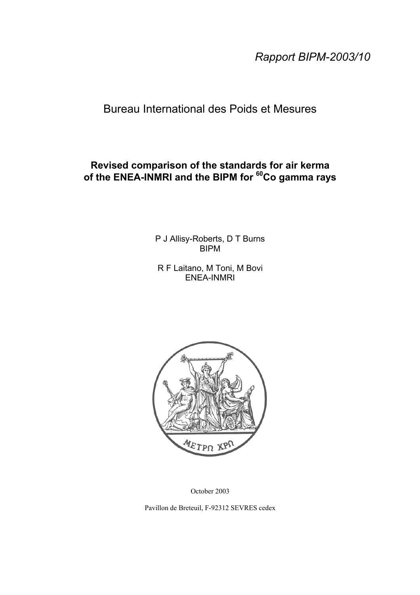*Rapport BIPM-2003/10*

## Bureau International des Poids et Mesures

## **Revised comparison of the standards for air kerma of the ENEA-INMRI and the BIPM for 60Co gamma rays**

P J Allisy-Roberts, D T Burns BIPM

R F Laitano, M Toni, M Bovi ENEA-INMRI



October 2003

Pavillon de Breteuil, F-92312 SEVRES cedex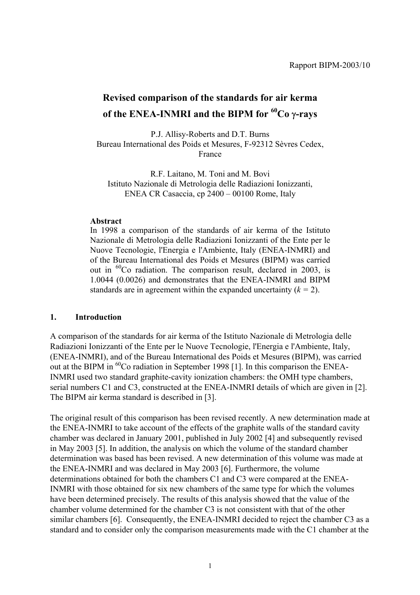# **Revised comparison of the standards for air kerma of the ENEA-INMRI and the BIPM for 60Co** γ**-rays**

P.J. Allisy-Roberts and D.T. Burns Bureau International des Poids et Mesures, F-92312 Sèvres Cedex, France

R.F. Laitano, M. Toni and M. Bovi Istituto Nazionale di Metrologia delle Radiazioni Ionizzanti, ENEA CR Casaccia, cp 2400 – 00100 Rome, Italy

#### **Abstract**

In 1998 a comparison of the standards of air kerma of the Istituto Nazionale di Metrologia delle Radiazioni Ionizzanti of the Ente per le Nuove Tecnologie, l'Energia e l'Ambiente, Italy (ENEA-INMRI) and of the Bureau International des Poids et Mesures (BIPM) was carried out in 60Co radiation. The comparison result, declared in 2003, is 1.0044 (0.0026) and demonstrates that the ENEA-INMRI and BIPM standards are in agreement within the expanded uncertainty  $(k = 2)$ .

#### **1. Introduction**

A comparison of the standards for air kerma of the Istituto Nazionale di Metrologia delle Radiazioni Ionizzanti of the Ente per le Nuove Tecnologie, l'Energia e l'Ambiente, Italy, (ENEA-INMRI), and of the Bureau International des Poids et Mesures (BIPM), was carried out at the BIPM in <sup>60</sup>Co radiation in September 1998 [1]. In this comparison the ENEA-INMRI used two standard graphite-cavity ionization chambers: the OMH type chambers, serial numbers C1 and C3, constructed at the ENEA-INMRI details of which are given in [2]. The BIPM air kerma standard is described in [3].

The original result of this comparison has been revised recently. A new determination made at the ENEA-INMRI to take account of the effects of the graphite walls of the standard cavity chamber was declared in January 2001, published in July 2002 [4] and subsequently revised in May 2003 [5]. In addition, the analysis on which the volume of the standard chamber determination was based has been revised. A new determination of this volume was made at the ENEA-INMRI and was declared in May 2003 [6]. Furthermore, the volume determinations obtained for both the chambers C1 and C3 were compared at the ENEA-INMRI with those obtained for six new chambers of the same type for which the volumes have been determined precisely. The results of this analysis showed that the value of the chamber volume determined for the chamber C3 is not consistent with that of the other similar chambers [6]. Consequently, the ENEA-INMRI decided to reject the chamber C3 as a standard and to consider only the comparison measurements made with the C1 chamber at the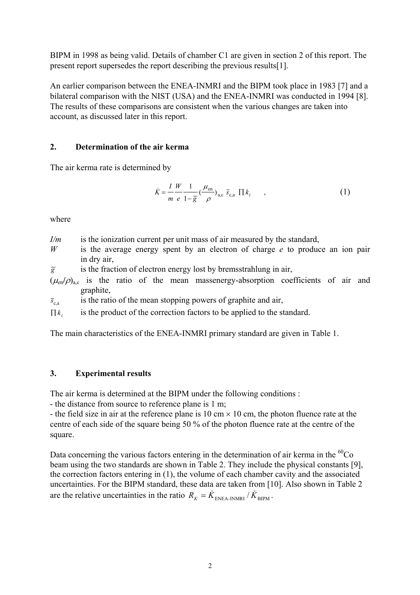BIPM in 1998 as being valid. Details of chamber C1 are given in section 2 of this report. The present report supersedes the report describing the previous results[1].

An earlier comparison between the ENEA-INMRI and the BIPM took place in 1983 [7] and a bilateral comparison with the NIST (USA) and the ENEA-INMRI was conducted in 1994 [8]. The results of these comparisons are consistent when the various changes are taken into account, as discussed later in this report.

#### **2. Determination of the air kerma**

The air kerma rate is determined by

$$
\dot{K} = \frac{I}{m} \frac{W}{e} \frac{1}{1 - \overline{g}} \left( \frac{\mu_{\text{en}}}{\rho} \right)_{\text{a,c}} \overline{s}_{\text{c,a}} \prod k_i \tag{1}
$$

where

*I/m* is the ionization current per unit mass of air measured by the standard,

*W* is the average energy spent by an electron of charge *e* to produce an ion pair in dry air,

 $\overline{g}$  is the fraction of electron energy lost by bremsstrahlung in air,

 $(\mu_{en}/\rho)_{ac}$  is the ratio of the mean massenergy-absorption coefficients of air and graphite,

 $\bar{s}_{c,a}$  is the ratio of the mean stopping powers of graphite and air,

 $\prod k_i$  is the product of the correction factors to be applied to the standard.

The main characteristics of the ENEA-INMRI primary standard are given in Table 1.

#### **3. Experimental results**

The air kerma is determined at the BIPM under the following conditions :

- the distance from source to reference plane is 1 m;

- the field size in air at the reference plane is 10 cm  $\times$  10 cm, the photon fluence rate at the centre of each side of the square being 50 % of the photon fluence rate at the centre of the square.

Data concerning the various factors entering in the determination of air kerma in the  ${}^{60}Co$ beam using the two standards are shown in Table 2. They include the physical constants [9], the correction factors entering in (1), the volume of each chamber cavity and the associated uncertainties. For the BIPM standard, these data are taken from [10]. Also shown in Table 2 are the relative uncertainties in the ratio  $R_K = \dot{K}_{ENEA-INMRI} / \dot{K}_{BIPM}$ .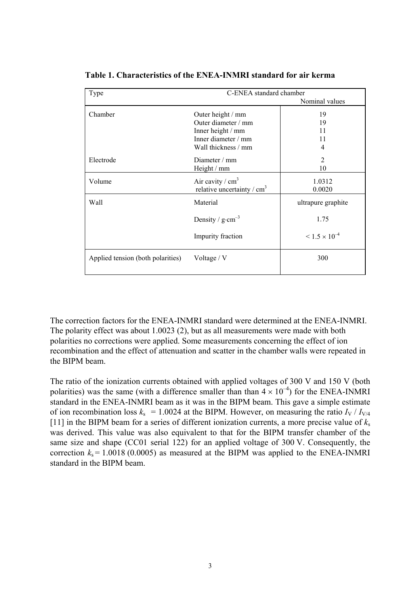| C-ENEA standard chamber<br>Type   |                              |                           |  |  |
|-----------------------------------|------------------------------|---------------------------|--|--|
|                                   |                              | Nominal values            |  |  |
| Chamber                           | Outer height / mm            | 19                        |  |  |
|                                   | Outer diameter / mm          | 19                        |  |  |
|                                   | Inner height / mm            | 11                        |  |  |
|                                   | Inner diameter / mm          | 11                        |  |  |
|                                   | Wall thickness / mm          | $\overline{4}$            |  |  |
| Electrode                         | Diameter $/mm$               | 2                         |  |  |
|                                   | Height / mm                  | 10                        |  |  |
| Volume                            | Air cavity / $cm3$           | 1.0312                    |  |  |
|                                   | relative uncertainty / $cm3$ | 0.0020                    |  |  |
| Wall                              | Material                     | ultrapure graphite        |  |  |
|                                   | Density / $g \cdot cm^{-3}$  | 1.75                      |  |  |
|                                   | Impurity fraction            | $\leq 1.5 \times 10^{-4}$ |  |  |
| Applied tension (both polarities) | Voltage / V                  | 300                       |  |  |
|                                   |                              |                           |  |  |

**Table 1. Characteristics of the ENEA-INMRI standard for air kerma**

The correction factors for the ENEA-INMRI standard were determined at the ENEA-INMRI. The polarity effect was about 1.0023 (2), but as all measurements were made with both polarities no corrections were applied. Some measurements concerning the effect of ion recombination and the effect of attenuation and scatter in the chamber walls were repeated in the BIPM beam.

The ratio of the ionization currents obtained with applied voltages of 300 V and 150 V (both polarities) was the same (with a difference smaller than than  $4 \times 10^{-4}$ ) for the ENEA-INMRI standard in the ENEA-INMRI beam as it was in the BIPM beam. This gave a simple estimate of ion recombination loss  $k_s$  = 1.0024 at the BIPM. However, on measuring the ratio  $I_V / I_{V/4}$ [11] in the BIPM beam for a series of different ionization currents, a more precise value of  $k_s$ was derived. This value was also equivalent to that for the BIPM transfer chamber of the same size and shape (CC01 serial 122) for an applied voltage of 300 V. Consequently, the correction  $k_s = 1.0018$  (0.0005) as measured at the BIPM was applied to the ENEA-INMRI standard in the BIPM beam.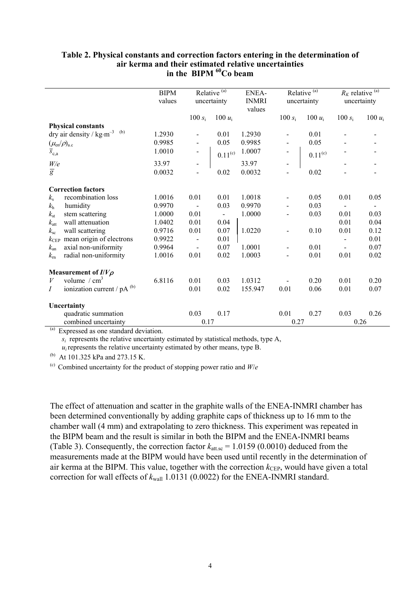#### **Table 2. Physical constants and correction factors entering in the determination of air kerma and their estimated relative uncertainties** in the BIPM <sup>60</sup>Co beam

|                                           |                                                               | <b>BIPM</b> |                | Relative $\overline{^{(a)}}$ | ENEA-        |                | Relative <sup>(a)</sup> | $R_K$ relative $\overset{(a)}{=}$ |             |
|-------------------------------------------|---------------------------------------------------------------|-------------|----------------|------------------------------|--------------|----------------|-------------------------|-----------------------------------|-------------|
|                                           |                                                               | values      |                | uncertainty                  | <b>INMRI</b> |                | uncertainty             |                                   | uncertainty |
|                                           |                                                               |             |                |                              | values       |                |                         |                                   |             |
|                                           |                                                               |             | 100 $s_i$      | 100 $u_i$                    |              | 100 $s_i$      | 100 $u_i$               | 100 $s_i$                         | 100 $u_i$   |
|                                           | <b>Physical constants</b>                                     |             |                |                              |              |                |                         |                                   |             |
|                                           | dry air density / $\text{kg}\cdot\text{m}^{-3}$ $\,$ $^{(b)}$ | 1.2930      |                | 0.01                         | 1.2930       |                | 0.01                    |                                   |             |
| $(\mu_{\text{\rm en}}/\rho)_{\text{a.c}}$ |                                                               | 0.9985      | $\frac{1}{2}$  | 0.05                         | 0.9985       |                | 0.05                    |                                   |             |
| $\overline{s}_{c,a}$                      |                                                               | 1.0010      |                | $0.11^{\rm (c)}$             | 1.0007       |                | $0.11^{(c)}$            |                                   |             |
|                                           |                                                               | 33.97       |                |                              | 33.97        |                |                         |                                   |             |
| $\frac{W}{g}$                             |                                                               | 0.0032      | $\overline{a}$ | 0.02                         | 0.0032       |                | 0.02                    |                                   |             |
|                                           | <b>Correction factors</b>                                     |             |                |                              |              |                |                         |                                   |             |
| $k_{\rm s}$                               | recombination loss                                            | 1.0016      | 0.01           | 0.01                         | 1.0018       |                | 0.05                    | 0.01                              | 0.05        |
| $k_{\rm h}$                               | humidity                                                      | 0.9970      |                | 0.03                         | 0.9970       |                | 0.03                    |                                   |             |
| $k_{\rm st}$                              | stem scattering                                               | 1.0000      | 0.01           | $\blacksquare$               | 1.0000       |                | 0.03                    | 0.01                              | 0.03        |
|                                           | wall attenuation                                              | 1.0402      | 0.01           | 0.04                         |              |                |                         | 0.01                              | 0.04        |
| $k_{\rm att}$                             |                                                               | 0.9716      | 0.01           | 0.07                         | 1.0220       |                | 0.10                    | 0.01                              | 0.12        |
| $k_{\rm sc}$                              | wall scattering                                               |             |                |                              |              |                |                         |                                   |             |
| $k_{\rm CEP}$                             | mean origin of electrons                                      | 0.9922      |                | 0.01                         |              |                |                         |                                   | 0.01        |
| $k_{\rm an}$                              | axial non-uniformity                                          | 0.9964      |                | 0.07                         | 1.0001       |                | 0.01                    |                                   | 0.07        |
| $k_{\rm m}$                               | radial non-uniformity                                         | 1.0016      | 0.01           | 0.02                         | 1.0003       | $\blacksquare$ | 0.01                    | 0.01                              | 0.02        |
|                                           | Measurement of $I/V\rho$                                      |             |                |                              |              |                |                         |                                   |             |
| V                                         | volume $/cm3$                                                 | 6.8116      | 0.01           | 0.03                         | 1.0312       |                | 0.20                    | 0.01                              | 0.20        |
| $\overline{I}$                            | ionization current / $pA^{(b)}$                               |             | 0.01           | 0.02                         | 155.947      | 0.01           | 0.06                    | 0.01                              | 0.07        |
|                                           | Uncertainty                                                   |             |                |                              |              |                |                         |                                   |             |
|                                           | quadratic summation                                           |             | 0.03           | 0.17                         |              | 0.01           | 0.27                    | 0.03                              | 0.26        |
|                                           | combined uncertainty                                          |             | 0.17           |                              |              | 0.27           |                         |                                   | 0.26        |

(a) Expressed as one standard deviation.

 $s_i$  represents the relative uncertainty estimated by statistical methods, type A,

 $u_i$  represents the relative uncertainty estimated by other means, type B.

(b) At 101.325 kPa and 273.15 K.

(c) Combined uncertainty for the product of stopping power ratio and  $W/e$ 

The effect of attenuation and scatter in the graphite walls of the ENEA-INMRI chamber has been determined conventionally by adding graphite caps of thickness up to 16 mm to the chamber wall (4 mm) and extrapolating to zero thickness. This experiment was repeated in the BIPM beam and the result is similar in both the BIPM and the ENEA-INMRI beams (Table 3). Consequently, the correction factor  $k_{\text{att.se}} = 1.0159$  (0.0010) deduced from the measurements made at the BIPM would have been used until recently in the determination of air kerma at the BIPM. This value, together with the correction  $k_{\text{CEP}}$ , would have given a total correction for wall effects of  $k_{wall}$  1.0131 (0.0022) for the ENEA-INMRI standard.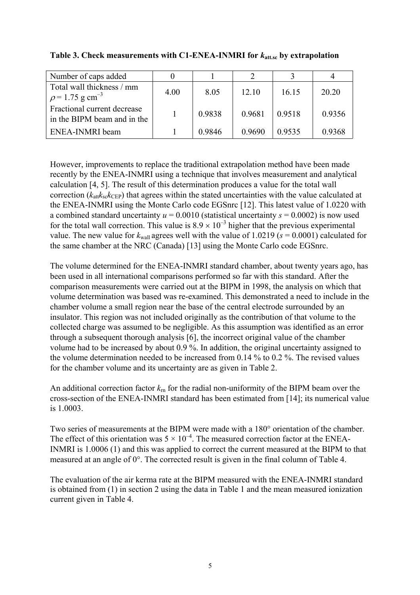| Number of caps added                                          |      |        |        |        |        |
|---------------------------------------------------------------|------|--------|--------|--------|--------|
| Total wall thickness / mm<br>$\rho$ = 1.75 g cm <sup>-3</sup> | 4.00 | 8.05   | 12.10  | 16.15  | 20.20  |
| Fractional current decrease<br>in the BIPM beam and in the    |      | 0.9838 | 0.9681 | 0.9518 | 0.9356 |
| ENEA-INMRI beam                                               |      | 0.9846 | 0.9690 | 0.9535 | 0.9368 |

**Table 3. Check measurements with C1-ENEA-INMRI for** *k***att.sc by extrapolation**

However, improvements to replace the traditional extrapolation method have been made recently by the ENEA-INMRI using a technique that involves measurement and analytical calculation [4, 5]. The result of this determination produces a value for the total wall correction  $(k_{\text{att}}k_{\text{sc}}k_{\text{CEP}})$  that agrees within the stated uncertainties with the value calculated at the ENEA-INMRI using the Monte Carlo code EGSnrc [12]. This latest value of 1.0220 with a combined standard uncertainty  $u = 0.0010$  (statistical uncertainty  $s = 0.0002$ ) is now used for the total wall correction. This value is  $8.9 \times 10^{-3}$  higher that the previous experimental value. The new value for  $k_{\text{wall}}$  agrees well with the value of 1.0219 ( $s = 0.0001$ ) calculated for the same chamber at the NRC (Canada) [13] using the Monte Carlo code EGSnrc.

The volume determined for the ENEA-INMRI standard chamber, about twenty years ago, has been used in all international comparisons performed so far with this standard. After the comparison measurements were carried out at the BIPM in 1998, the analysis on which that volume determination was based was re-examined. This demonstrated a need to include in the chamber volume a small region near the base of the central electrode surrounded by an insulator. This region was not included originally as the contribution of that volume to the collected charge was assumed to be negligible. As this assumption was identified as an error through a subsequent thorough analysis [6], the incorrect original value of the chamber volume had to be increased by about 0.9 %. In addition, the original uncertainty assigned to the volume determination needed to be increased from 0.14 % to 0.2 %. The revised values for the chamber volume and its uncertainty are as given in Table 2.

An additional correction factor *k*rn for the radial non-uniformity of the BIPM beam over the cross-section of the ENEA-INMRI standard has been estimated from [14]; its numerical value is 1.0003.

Two series of measurements at the BIPM were made with a 180° orientation of the chamber. The effect of this orientation was  $5 \times 10^{-4}$ . The measured correction factor at the ENEA-INMRI is 1.0006 (1) and this was applied to correct the current measured at the BIPM to that measured at an angle of 0°. The corrected result is given in the final column of Table 4.

The evaluation of the air kerma rate at the BIPM measured with the ENEA-INMRI standard is obtained from (1) in section 2 using the data in Table 1 and the mean measured ionization current given in Table 4.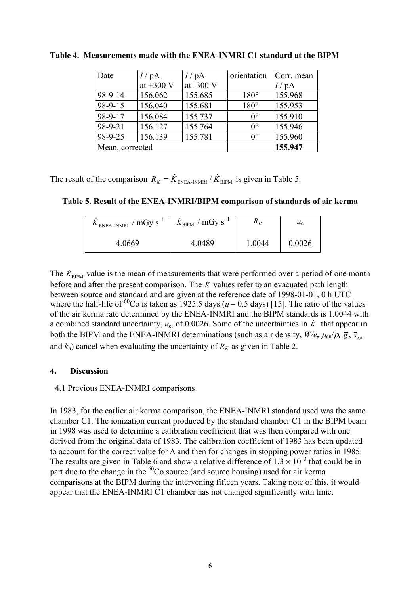| Date            | $I/\mathrm{pA}$ | $I/\mathrm{pA}$ | orientation | Corr. mean |
|-----------------|-----------------|-----------------|-------------|------------|
|                 | at $+300$ V     | at -300 V       |             | / $pA$     |
| 98-9-14         | 156.062         | 155.685         | $180^\circ$ | 155.968    |
| $98 - 9 - 15$   | 156.040         | 155.681         | $180^\circ$ | 155.953    |
| 98-9-17         | 156.084         | 155.737         | $0^{\circ}$ | 155.910    |
| 98-9-21         | 156.127         | 155.764         | $0^{\circ}$ | 155.946    |
| 98-9-25         | 156.139         | 155.781         | $0^{\circ}$ | 155.960    |
| Mean, corrected |                 |                 |             | 155.947    |

**Table 4. Measurements made with the ENEA-INMRI C1 standard at the BIPM**

The result of the comparison  $R_K = \dot{K}_{ENEA-INMRI} / \dot{K}_{BIPM}$  is given in Table 5.

**Table 5. Result of the ENEA-INMRI/BIPM comparison of standards of air kerma**

| $K_{ENEA-INMRI}$ / $mGy s^{-1}$ | $\dot{K}_{\text{BIPM}}$ / mGy s <sup>-1</sup> | $\mathbf{u}_V$ | $u_{\rm c}$ |
|---------------------------------|-----------------------------------------------|----------------|-------------|
| 4.0669                          | 4.0489                                        | 1.0044         | 0.0026      |

The  $\dot{K}_{\text{BIPM}}$  value is the mean of measurements that were performed over a period of one month before and after the present comparison. The  $\dot{K}$  values refer to an evacuated path length between source and standard and are given at the reference date of 1998-01-01, 0 h UTC where the half-life of <sup>60</sup>Co is taken as 1925.5 days ( $u = 0.5$  days) [15]. The ratio of the values of the air kerma rate determined by the ENEA-INMRI and the BIPM standards is 1.0044 with a combined standard uncertainty,  $u_c$ , of 0.0026. Some of the uncertainties in  $\dot{K}$  that appear in both the BIPM and the ENEA-INMRI determinations (such as air density,  $W/e$ ,  $\mu_{en}/\rho$ ,  $\frac{1}{g}$ ,  $\frac{1}{s}$ ,  $\frac{1}{g}$ and  $k_h$ ) cancel when evaluating the uncertainty of  $R_K$  as given in Table 2.

### **4. Discussion**

### 4.1 Previous ENEA-INMRI comparisons

In 1983, for the earlier air kerma comparison, the ENEA-INMRI standard used was the same chamber C1. The ionization current produced by the standard chamber C1 in the BIPM beam in 1998 was used to determine a calibration coefficient that was then compared with one derived from the original data of 1983. The calibration coefficient of 1983 has been updated to account for the correct value for ∆ and then for changes in stopping power ratios in 1985. The results are given in Table 6 and show a relative difference of  $1.3 \times 10^{-3}$  that could be in part due to the change in the  ${}^{60}Co$  source (and source housing) used for air kerma comparisons at the BIPM during the intervening fifteen years. Taking note of this, it would appear that the ENEA-INMRI C1 chamber has not changed significantly with time.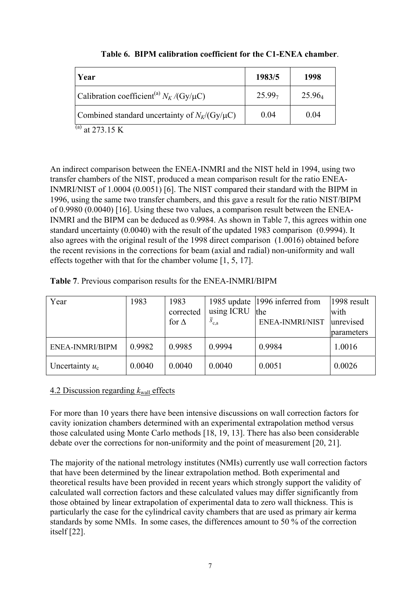| Year                                                        | 1983/5             | 1998               |
|-------------------------------------------------------------|--------------------|--------------------|
| Calibration coefficient <sup>(a)</sup> $N_K$ /(Gy/ $\mu$ C) | 25.99 <sub>7</sub> | 25.96 <sub>4</sub> |
| Combined standard uncertainty of $N_K/(Gy/\mu C)$           | 0.04               | 0.04               |

#### **Table 6. BIPM calibration coefficient for the C1-ENEA chamber**.

 $^{(a)}$  at 273.15 K

An indirect comparison between the ENEA-INMRI and the NIST held in 1994, using two transfer chambers of the NIST, produced a mean comparison result for the ratio ENEA-INMRI/NIST of 1.0004 (0.0051) [6]. The NIST compared their standard with the BIPM in 1996, using the same two transfer chambers, and this gave a result for the ratio NIST/BIPM of 0.9980 (0.0040) [16]. Using these two values, a comparison result between the ENEA-INMRI and the BIPM can be deduced as 0.9984. As shown in Table 7, this agrees within one standard uncertainty (0.0040) with the result of the updated 1983 comparison (0.9994). It also agrees with the original result of the 1998 direct comparison (1.0016) obtained before the recent revisions in the corrections for beam (axial and radial) non-uniformity and wall effects together with that for the chamber volume [1, 5, 17].

| Table 7. Previous comparison results for the ENEA-INMRI/BIPM |  |
|--------------------------------------------------------------|--|
|--------------------------------------------------------------|--|

| Year              | 1983   | 1983<br>corrected<br>for $\Delta$ | using ICRU $ $ the<br>$\overline{s}_{c,a}$ | 1985 update 1996 inferred from<br>ENEA-INMRI/NIST | 1998 result<br>with<br>unrevised<br>parameters |
|-------------------|--------|-----------------------------------|--------------------------------------------|---------------------------------------------------|------------------------------------------------|
| ENEA-INMRI/BIPM   | 0.9982 | 0.9985                            | 0.9994                                     | 0.9984                                            | 1.0016                                         |
| Uncertainty $u_c$ | 0.0040 | 0.0040                            | 0.0040                                     | 0.0051                                            | 0.0026                                         |

#### 4.2 Discussion regarding  $k_{\text{wall}}$  effects

For more than 10 years there have been intensive discussions on wall correction factors for cavity ionization chambers determined with an experimental extrapolation method versus those calculated using Monte Carlo methods [18, 19, 13]. There has also been considerable debate over the corrections for non-uniformity and the point of measurement [20, 21].

The majority of the national metrology institutes (NMIs) currently use wall correction factors that have been determined by the linear extrapolation method. Both experimental and theoretical results have been provided in recent years which strongly support the validity of calculated wall correction factors and these calculated values may differ significantly from those obtained by linear extrapolation of experimental data to zero wall thickness. This is particularly the case for the cylindrical cavity chambers that are used as primary air kerma standards by some NMIs. In some cases, the differences amount to 50 % of the correction itself [22].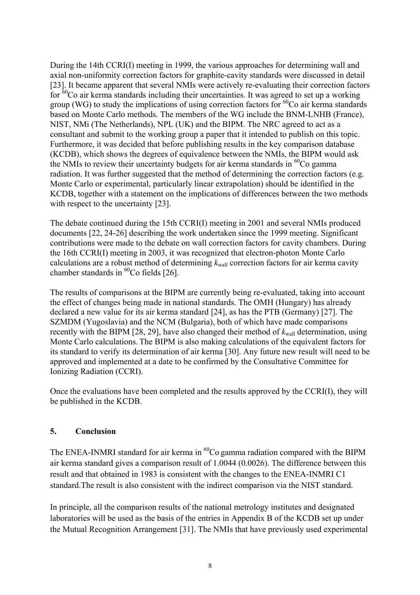During the 14th CCRI(I) meeting in 1999, the various approaches for determining wall and axial non-uniformity correction factors for graphite-cavity standards were discussed in detail [23]. It became apparent that several NMIs were actively re-evaluating their correction factors for  ${}^{60}$ Co air kerma standards including their uncertainties. It was agreed to set up a working group (WG) to study the implications of using correction factors for  ${}^{60}Co$  air kerma standards based on Monte Carlo methods. The members of the WG include the BNM-LNHB (France), NIST, NMi (The Netherlands), NPL (UK) and the BIPM. The NRC agreed to act as a consultant and submit to the working group a paper that it intended to publish on this topic. Furthermore, it was decided that before publishing results in the key comparison database (KCDB), which shows the degrees of equivalence between the NMIs, the BIPM would ask the NMIs to review their uncertainty budgets for air kerma standards in  ${}^{60}Co$  gamma radiation. It was further suggested that the method of determining the correction factors (e.g. Monte Carlo or experimental, particularly linear extrapolation) should be identified in the KCDB, together with a statement on the implications of differences between the two methods with respect to the uncertainty [23].

The debate continued during the 15th CCRI(I) meeting in 2001 and several NMIs produced documents [22, 24-26] describing the work undertaken since the 1999 meeting. Significant contributions were made to the debate on wall correction factors for cavity chambers. During the 16th CCRI(I) meeting in 2003, it was recognized that electron-photon Monte Carlo calculations are a robust method of determining  $k_{wall}$  correction factors for air kerma cavity chamber standards in  ${}^{60}$ Co fields [26].

The results of comparisons at the BIPM are currently being re-evaluated, taking into account the effect of changes being made in national standards. The OMH (Hungary) has already declared a new value for its air kerma standard [24], as has the PTB (Germany) [27]. The SZMDM (Yugoslavia) and the NCM (Bulgaria), both of which have made comparisons recently with the BIPM [28, 29], have also changed their method of  $k_{\text{wall}}$  determination, using Monte Carlo calculations. The BIPM is also making calculations of the equivalent factors for its standard to verify its determination of air kerma [30]. Any future new result will need to be approved and implemented at a date to be confirmed by the Consultative Committee for Ionizing Radiation (CCRI).

Once the evaluations have been completed and the results approved by the CCRI(I), they will be published in the KCDB.

#### **5. Conclusion**

The ENEA-INMRI standard for air kerma in  ${}^{60}Co$  gamma radiation compared with the BIPM air kerma standard gives a comparison result of 1.0044 (0.0026). The difference between this result and that obtained in 1983 is consistent with the changes to the ENEA-INMRI C1 standard.The result is also consistent with the indirect comparison via the NIST standard.

In principle, all the comparison results of the national metrology institutes and designated laboratories will be used as the basis of the entries in Appendix B of the KCDB set up under the Mutual Recognition Arrangement [31]. The NMIs that have previously used experimental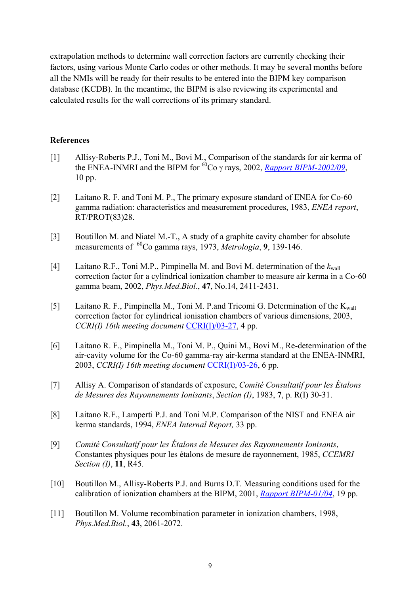extrapolation methods to determine wall correction factors are currently checking their factors, using various Monte Carlo codes or other methods. It may be several months before all the NMIs will be ready for their results to be entered into the BIPM key comparison database (KCDB). In the meantime, the BIPM is also reviewing its experimental and calculated results for the wall corrections of its primary standard.

#### **References**

- [1] Allisy-Roberts P.J., Toni M., Bovi M., Comparison of the standards for air kerma of the ENEA-INMRI and the BIPM for  ${}^{60}Co$  γ rays, 2002, *[Rapport BIPM-2002/09](https://www.bipm.org/utils/common/pdf/rapportBIPM/2002/09.pdf)*, 10 pp.
- [2] Laitano R. F. and Toni M. P., The primary exposure standard of ENEA for Co-60 gamma radiation: characteristics and measurement procedures, 1983, *ENEA report*, RT/PROT(83)28.
- [3] Boutillon M. and Niatel M.-T., A study of a graphite cavity chamber for absolute measurements of <sup>60</sup>Co gamma rays, 1973, *Metrologia*, **9**, 139-146.
- [4] Laitano R.F., Toni M.P., Pimpinella M. and Bovi M. determination of the  $k_{\text{wall}}$ correction factor for a cylindrical ionization chamber to measure air kerma in a Co-60 gamma beam, 2002, *Phys.Med.Biol.*, **47**, No.14, 2411-2431.
- [5] Laitano R. F., Pimpinella M., Toni M. P.and Tricomi G. Determination of the  $K_{wall}$ correction factor for cylindrical ionisation chambers of various dimensions, 2003, *CCRI(I) 16th meeting document* [CCRI\(I\)/03-27,](https://www.bipm.org/cc/CCRI(I)/Allowed/16/CCRI(I)03-27.pdf) 4 pp.
- [6] Laitano R. F., Pimpinella M., Toni M. P., Quini M., Bovi M., Re-determination of the air-cavity volume for the Co-60 gamma-ray air-kerma standard at the ENEA-INMRI, 2003, *CCRI(I) 16th meeting document* [CCRI\(I\)/03-26,](https://www.bipm.org/cc/CCRI(I)/Allowed/16/CCRI(I)03-26.pdf) 6 pp.
- [7] Allisy A. Comparison of standards of exposure, *Comité Consultatif pour les Étalons de Mesures des Rayonnements Ionisants*, *Section (I)*, 1983, **7**, p. R(I) 30-31.
- [8] Laitano R.F., Lamperti P.J. and Toni M.P. Comparison of the NIST and ENEA air kerma standards, 1994, *ENEA Internal Report,* 33 pp.
- [9] *Comité Consultatif pour les Étalons de Mesures des Rayonnements Ionisants*, Constantes physiques pour les étalons de mesure de rayonnement, 1985, *CCEMRI Section (I)*, **11**, R45.
- [10] Boutillon M., Allisy-Roberts P.J. and Burns D.T. Measuring conditions used for the calibration of ionization chambers at the BIPM, 2001, *[Rapport BIPM-01/04](https://www.bipm.org/utils/common/pdf/rapportBIPM/2001/04.pdf)*, 19 pp.
- [11] Boutillon M. Volume recombination parameter in ionization chambers, 1998, *Phys.Med.Biol.*, **43**, 2061-2072.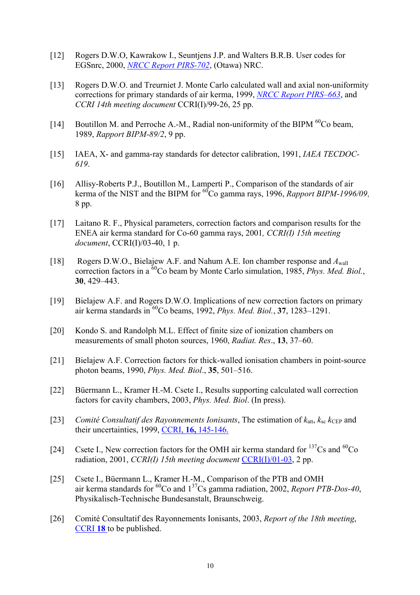- [12] Rogers D.W.O, Kawrakow I., Seuntjens J.P. and Walters B.R.B. User codes for EGSnrc, 2000, *[NRCC Report PIRS-702](http://www.irs.inms.nrc.ca/inms/irs/EGSnrc/pirs702/pirs702.pdf)*, (Otawa) NRC.
- [13] Rogers D.W.O. and Treurniet J. Monte Carlo calculated wall and axial non-uniformity corrections for primary standards of air kerma, 1999, *[NRCC Report PIRS–663](http://www.irs.inms.nrc.ca/inms/irs/papers/PIRS663/pirs663.html)*, and *CCRI 14th meeting document* CCRI(I)/99-26, 25 pp.
- [14] Boutillon M. and Perroche A.-M., Radial non-uniformity of the BIPM <sup>60</sup>Co beam, 1989, *Rapport BIPM-89/2*, 9 pp.
- [15] IAEA, X- and gamma-ray standards for detector calibration, 1991, *IAEA TECDOC-619*.
- [16] Allisy-Roberts P.J., Boutillon M., Lamperti P., Comparison of the standards of air kerma of the NIST and the BIPM for <sup>60</sup>Co gamma rays, 1996, *Rapport BIPM-1996/09*, 8 pp.
- [17] Laitano R. F., Physical parameters, correction factors and comparison results for the ENEA air kerma standard for Co-60 gamma rays, 2001*, CCRI(I) 15th meeting document*, CCRI(I)/03-40, 1 p.
- [18] Rogers D.W.O., Bielajew A.F. and Nahum A.E. Ion chamber response and *A*wall correction factors in a 60Co beam by Monte Carlo simulation, 1985, *Phys. Med. Biol.*, **30**, 429–443.
- [19] Bielajew A.F. and Rogers D.W.O. Implications of new correction factors on primary air kerma standards in 60Co beams, 1992, *Phys. Med. Biol.*, **37**, 1283–1291.
- [20] Kondo S. and Randolph M.L. Effect of finite size of ionization chambers on measurements of small photon sources, 1960, *Radiat. Res*., **13**, 37–60.
- [21] Bielajew A.F. Correction factors for thick-walled ionisation chambers in point-source photon beams, 1990, *Phys. Med. Biol*., **35**, 501–516.
- [22] Büermann L., Kramer H.-M. Csete I., Results supporting calculated wall correction factors for cavity chambers, 2003, *Phys. Med. Biol*. (In press).
- [23] *Comité Consultatif des Rayonnements Ionisants*, The estimation of  $k_{\text{att}}$ ,  $k_{\text{sc}}$   $k_{\text{CEP}}$  and their uncertainties, 1999, CCRI, **16,** [145-146.](https://www.bipm.org/en/committees/cc/ccri/publications_cc.html)
- [24] Csete I., New correction factors for the OMH air kerma standard for  $^{137}Cs$  and  $^{60}Co$ radiation, 2001, *CCRI(I) 15th meeting document* [CCRI\(I\)/01-03,](https://www.bipm.org/cc/CCRI(I)/Allowed/15/CCRI(I)01-03.pdf) 2 pp.
- [25] Csete I., Büermann L., Kramer H.-M., Comparison of the PTB and OMH air kerma standards for 60Co and 137Cs gamma radiation, 2002, *Report PTB-Dos-40*, Physikalisch-Technische Bundesanstalt, Braunschweig.
- [26] Comité Consultatif des Rayonnements Ionisants, 2003, *Report of the 18th meeting*, [CCRI](https://www.bipm.org/en/committees/cc/ccri/publications_cc.html) **18** to be published.